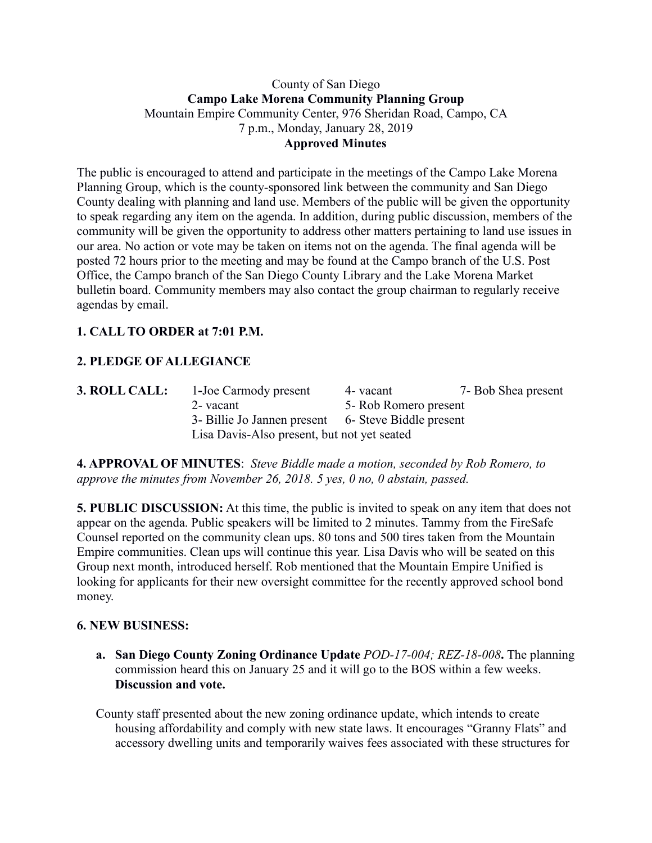### County of San Diego **Campo Lake Morena Community Planning Group** Mountain Empire Community Center, 976 Sheridan Road, Campo, CA 7 p.m., Monday, January 28, 2019 **Approved Minutes**

The public is encouraged to attend and participate in the meetings of the Campo Lake Morena Planning Group, which is the county-sponsored link between the community and San Diego County dealing with planning and land use. Members of the public will be given the opportunity to speak regarding any item on the agenda. In addition, during public discussion, members of the community will be given the opportunity to address other matters pertaining to land use issues in our area. No action or vote may be taken on items not on the agenda. The final agenda will be posted 72 hours prior to the meeting and may be found at the Campo branch of the U.S. Post Office, the Campo branch of the San Diego County Library and the Lake Morena Market bulletin board. Community members may also contact the group chairman to regularly receive agendas by email.

# **1. CALL TO ORDER at 7:01 P.M.**

# **2. PLEDGE OF ALLEGIANCE**

| 3. ROLL CALL: | 1-Joe Carmody present                               | 4 - vacant            | 7- Bob Shea present |
|---------------|-----------------------------------------------------|-----------------------|---------------------|
|               | 2- vacant                                           | 5- Rob Romero present |                     |
|               | 3- Billie Jo Jannen present 6- Steve Biddle present |                       |                     |
|               | Lisa Davis-Also present, but not yet seated         |                       |                     |

**4. APPROVAL OF MINUTES**: *Steve Biddle made a motion, seconded by Rob Romero, to approve the minutes from November 26, 2018. 5 yes, 0 no, 0 abstain, passed.*

**5. PUBLIC DISCUSSION:** At this time, the public is invited to speak on any item that does not appear on the agenda. Public speakers will be limited to 2 minutes. Tammy from the FireSafe Counsel reported on the community clean ups. 80 tons and 500 tires taken from the Mountain Empire communities. Clean ups will continue this year. Lisa Davis who will be seated on this Group next month, introduced herself. Rob mentioned that the Mountain Empire Unified is looking for applicants for their new oversight committee for the recently approved school bond money.

#### **6. NEW BUSINESS:**

**a. San Diego County Zoning Ordinance Update** *POD-17-004; REZ-18-008***.** The planning commission heard this on January 25 and it will go to the BOS within a few weeks. **Discussion and vote.** 

County staff presented about the new zoning ordinance update, which intends to create housing affordability and comply with new state laws. It encourages "Granny Flats" and accessory dwelling units and temporarily waives fees associated with these structures for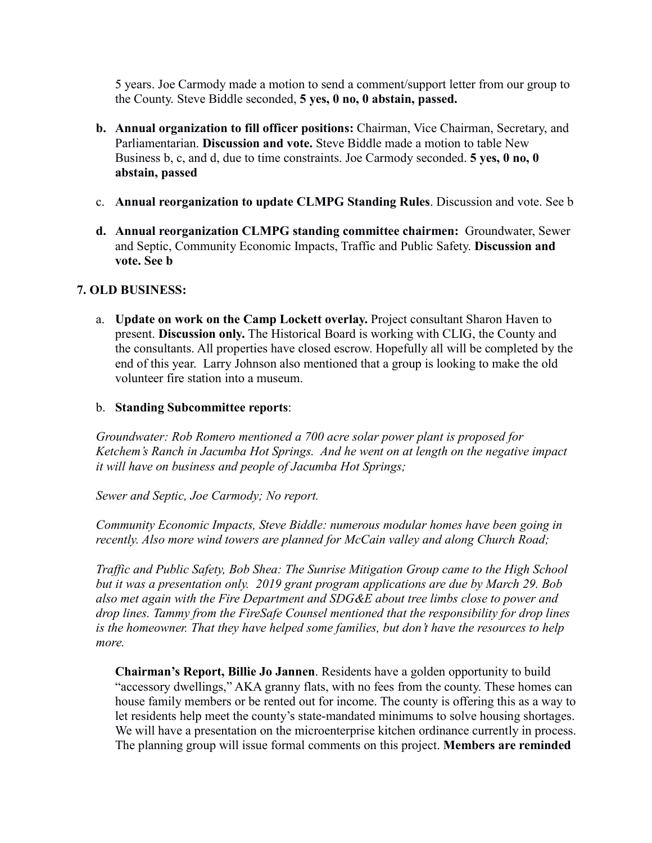5 years. Joe Carmody made a motion to send a comment/support letter from our group to the County. Steve Biddle seconded, **5 yes, 0 no, 0 abstain, passed.** 

- **b. Annual organization to fill officer positions:** Chairman, Vice Chairman, Secretary, and Parliamentarian. **Discussion and vote.** Steve Biddle made a motion to table New Business b, c, and d, due to time constraints. Joe Carmody seconded. **5 yes, 0 no, 0 abstain, passed**
- c. **Annual reorganization to update CLMPG Standing Rules**. Discussion and vote. See b
- **d. Annual reorganization CLMPG standing committee chairmen:** Groundwater, Sewer and Septic, Community Economic Impacts, Traffic and Public Safety. **Discussion and vote. See b**

### **7. OLD BUSINESS:**

a. **Update on work on the Camp Lockett overlay.** Project consultant Sharon Haven to present. **Discussion only.** The Historical Board is working with CLIG, the County and the consultants. All properties have closed escrow. Hopefully all will be completed by the end of this year. Larry Johnson also mentioned that a group is looking to make the old volunteer fire station into a museum.

### b. **Standing Subcommittee reports**:

*Groundwater: Rob Romero mentioned a 700 acre solar power plant is proposed for Ketchem's Ranch in Jacumba Hot Springs. And he went on at length on the negative impact it will have on business and people of Jacumba Hot Springs;* 

*Sewer and Septic, Joe Carmody; No report.*

*Community Economic Impacts, Steve Biddle: numerous modular homes have been going in recently. Also more wind towers are planned for McCain valley and along Church Road;* 

*Traffic and Public Safety, Bob Shea: The Sunrise Mitigation Group came to the High School but it was a presentation only. 2019 grant program applications are due by March 29. Bob also met again with the Fire Department and SDG&E about tree limbs close to power and drop lines. Tammy from the FireSafe Counsel mentioned that the responsibility for drop lines is the homeowner. That they have helped some families, but don't have the resources to help more.*

**Chairman's Report, Billie Jo Jannen**. Residents have a golden opportunity to build "accessory dwellings," AKA granny flats, with no fees from the county. These homes can house family members or be rented out for income. The county is offering this as a way to let residents help meet the county's state-mandated minimums to solve housing shortages. We will have a presentation on the microenterprise kitchen ordinance currently in process. The planning group will issue formal comments on this project. **Members are reminded**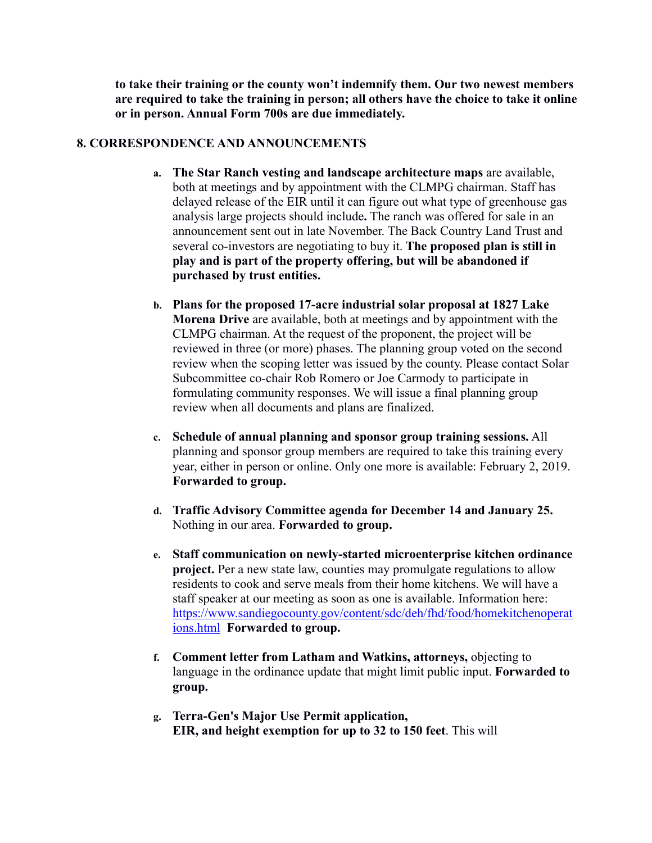**to take their training or the county won't indemnify them. Our two newest members are required to take the training in person; all others have the choice to take it online or in person. Annual Form 700s are due immediately.**

#### **8. CORRESPONDENCE AND ANNOUNCEMENTS**

- **a. The Star Ranch vesting and landscape architecture maps** are available, both at meetings and by appointment with the CLMPG chairman. Staff has delayed release of the EIR until it can figure out what type of greenhouse gas analysis large projects should include**.** The ranch was offered for sale in an announcement sent out in late November. The Back Country Land Trust and several co-investors are negotiating to buy it. **The proposed plan is still in play and is part of the property offering, but will be abandoned if purchased by trust entities.**
- **b. Plans for the proposed 17-acre industrial solar proposal at 1827 Lake Morena Drive** are available, both at meetings and by appointment with the CLMPG chairman. At the request of the proponent, the project will be reviewed in three (or more) phases. The planning group voted on the second review when the scoping letter was issued by the county. Please contact Solar Subcommittee co-chair Rob Romero or Joe Carmody to participate in formulating community responses. We will issue a final planning group review when all documents and plans are finalized.
- **c. Schedule of annual planning and sponsor group training sessions.** All planning and sponsor group members are required to take this training every year, either in person or online. Only one more is available: February 2, 2019. **Forwarded to group.**
- **d. Traffic Advisory Committee agenda for December 14 and January 25.**  Nothing in our area. **Forwarded to group.**
- **e. Staff communication on newly-started microenterprise kitchen ordinance project.** Per a new state law, counties may promulgate regulations to allow residents to cook and serve meals from their home kitchens. We will have a staff speaker at our meeting as soon as one is available. Information here: https://www.sandiegocounty.gov/content/sdc/deh/fhd/food/homekitchenoperat ions.html **Forwarded to group.**
- **f. Comment letter from Latham and Watkins, attorneys,** objecting to language in the ordinance update that might limit public input. **Forwarded to group.**
- **g. Terra-Gen's Major Use Permit application, EIR, and height exemption for up to 32 to 150 feet**. This will